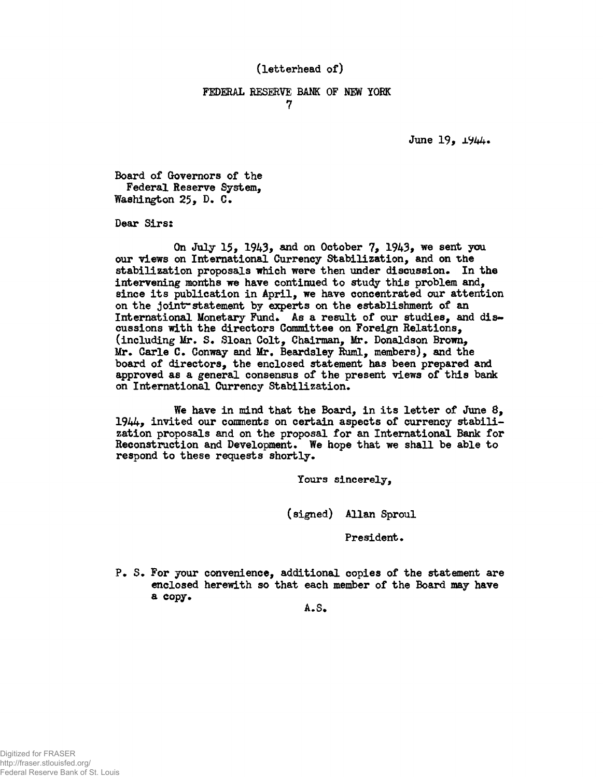## (letterhead of)

## FEDERAL RESERVE BANK OF NEW YORK **7**

June 19, 1944.

Board of Governors of the Federal Reserve System, Washington 25, D. C.

Dear Sirs:

On July  $15$ ,  $1943$ , and on October  $7$ ,  $1943$ , we sent you our views on International Currency Stabilization, and on the stabilization proposals which were then under discussion. In the intervening months we have continued to study this problem and, since its publication in April, we have concentrated our attention on the jointr statement by experts on the establishment of an International Monetary Fund. As a result of our studies, and discussions with the directors Committee on Foreign Relations, (including Mr. S. Sloan Colt, Chairman, Mr. Donaldson Brown, Mr. Carle C. Conway and Mr. Beardsley Ruml, members), and the board of directors, the enclosed statement has been prepared and approved as a general consensus of the present views of this bank on International Currency Stabilization.

We have in mind that the Board, in its letter of June 8, 1944, invited our comments on certain aspects of currency stabilization proposals and on the proposal for an International Bank for Reconstruction and Development. We hope that we shall be able to respond to these requests shortly.

Yours sincerely,

(signed) Allan Sproul

President.

P. S. For your convenience, additional copies of the statement are enclosed herewith so that each member of the Board may have a copy.

A.S.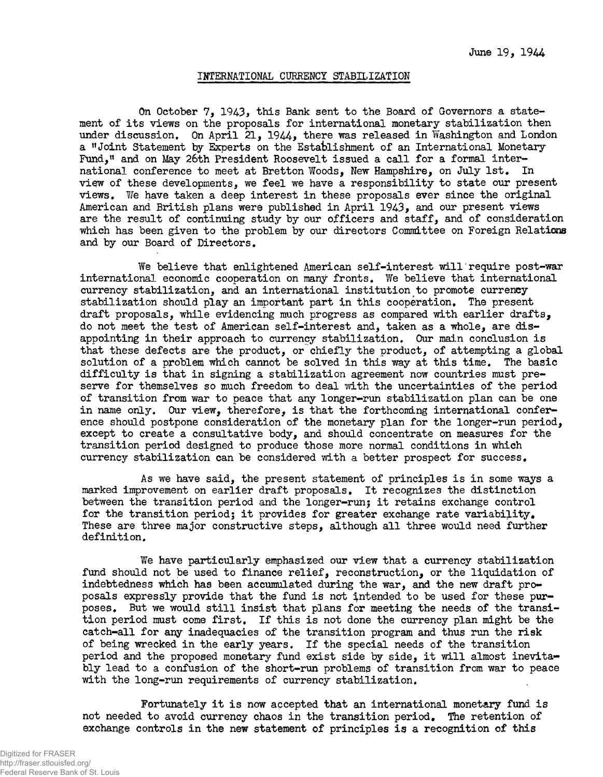## INTERNATIONAL CURRENCY STABILIZATION

On October 7, 1943, this Bank sent to the Board of Governors a statement of its views on the proposals for international monetary stabilization then under discussion. On April  $21$ ,  $1944$ , there was released in Washington and London a "Joint Statement by Experts on the Establishment of an International Monetary Fund," and on May 26th President Roosevelt issued a call for a formal international conference to meet at Bretton Woods, New Hampshire, on July 1st. In view of these developments, we feel we have a responsibility to state our present views. We have taken a deep interest in these proposals ever since the original American and British plans were published in April 1943, and our present views are the result of continuing study by our officers and staff, and of consideration which has been given to the problem by our directors Committee on Foreign Relations and by our Board of Directors.

We believe that enlightened American self-interest will require post-war international economic cooperation on many fronts. We believe that international currency stabilization, and an international institution to promote currency stabilization should play an important part in this cooperation. The present draft proposals, while evidencing much progress as compared with earlier drafts, do not meet the test of American self-interest and, taken as a whole, are disappointing in their approach to currency stabilization. Our main conclusion is that these defects are the product, or chiefly the product, of attempting a global solution of a problem which cannot be solved in this way at this time. The basic difficulty is that in signing a stabilization agreement now countries must preserve for themselves so much freedom to deal with the uncertainties of the period of transition from war to peace that any longer-run stabilization plan can be one in name only. Our view, therefore, is that the forthcoming international conference should postpone consideration of the monetary plan for the longer-run period, except to create a consultative body, and should concentrate on measures for the transition period designed to produce those more normal conditions in which currency stabilization can be considered with a better prospect for success.

As we have said, the present statement of principles is in some ways a marked improvement on earlier draft proposals. It recognizes the distinction between the transition period and the longer-run; it retains exchange control for the transition period; it provides for greater exchange rate variability. These are three major constructive steps, although all three would need further definition.

We have particularly emphasized our view that a currency stabilization fund should not be used to finance relief, reconstruction, or the liquidation of indebtedness which has been accumulated during the war, and the new draft proposals expressly provide that the fund is not intended to be used for these purposes. But we would still insist that plans for meeting the needs of the transition period must come first. If this is not done the currency plan might be the catch-all for any inadequacies of the transition program and thus run the risk of being wrecked in the early years. If the special needs of the transition period and the proposed monetary fund exist side by side, it will almost inevitably lead to a confusion of the short-run problems of transition from war to peace with the long-run requirements of currency stabilization.

Fortunately it is now accepted that an international monetary fund is not needed to avoid currency chaos in the transition period. The retention of exchange controls in the new statement of principles is a recognition of this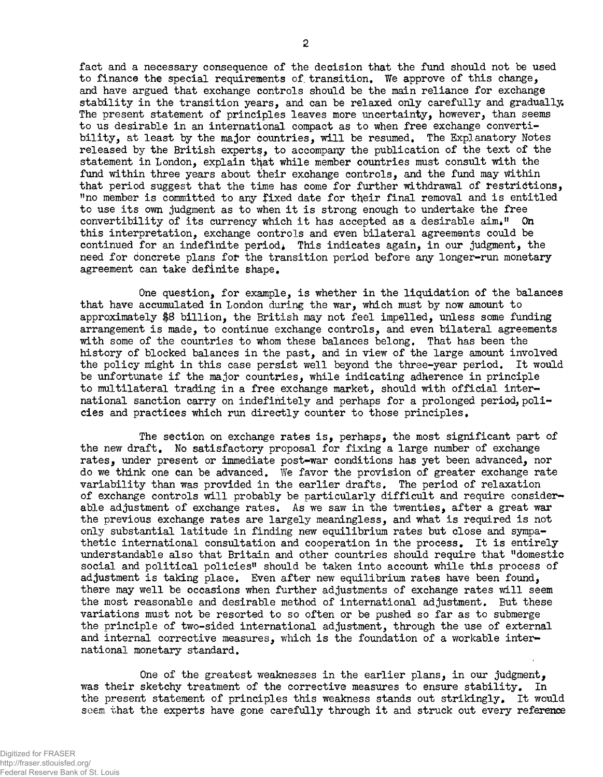fact and a necessary consequence of the decision that the fund should not be used to finance the special requirements of, transition. We approve of this change, and have argued that exchange controls should be the main reliance for exchange stability in the transition years, and can be relaxed only carefully and gradually. The present statement of principles leaves more uncertainty, however, than seems to us desirable in an international compact as to when free exchange convertibility, at least by the major countries, will be resumed. The Explanatory Notes released by the British experts, to accompany the publication of the text of the statement in London, explain that while member countries must consult with the fund within three years about their exchange controls, and the fund may within that period suggest that the time has come for further withdrawal of restrictions, "no member is committed to any £ixed date for their final removal and is entitled to use its own judgment as to when it is strong enough to undertake the free convertibility of its currency which it has accepted as a desirable  $\text{aim.}11$  On this interpretation, exchange controls and even bilateral agreements could be continued for an indefinite period. This indicates again, in our judgment, the need for doncrete plans for the transition period before any longer-run monetary agreement can take definite shape.

One question, for example, is whether in the liquidation of the balances that have accumulated in London during the war, which must by now amount to approximately \$8 billion, the British may not feel impelled, unless some funding arrangement is made, to continue exchange controls, and even bilateral agreements with some of the countries to whom these balances belong. That has been the history of blocked balances in the past, and in view of the large amount involved the policy might in this case persist well beyond the three-year period. It would be unfortunate if the major countries, while indicating adherence in principle to multilateral trading in a free exchange market, should with official international sanction carry on indefinitely and perhaps for a prolonged period, policies and practices which run directly counter to those principles.

The section on exchange rates is, perhaps, the most significant part of the new draft. Mo satisfactory proposal for fixing a large number of exchange rates, under present or immediate post-war conditions has yet been advanced, nor do we think one can be advanced. We favor the provision of greater exchange rate variability than was provided in the earlier drafts. The period of relaxation of exchange controls will probably be particularly difficult and require considerable adjustment of exchange rates. As we saw in the twenties, after a great war the previous exchange rates are largely meaningless, and what is required is not only substantial latitude in finding new equilibrium rates but close and sympathetic international consultation and cooperation in the process. It is entirely understandable also that Britain and other countries should require that "domestic social and political policies" should be taken into account while this process of adjustment is taking place. Even after new equilibrium rates have been found, there may well be occasions when further adjustments of exchange rates will seem the most reasonable and desirable method of international adjustment. But these variations must not be resorted to so often or be pushed so far as to submerge the principle of two-sided international adjustment, through the use of external and internal corrective measures, which is the foundation of a workable international monetary standard.

One of the greatest weaknesses in the earlier plans, in our judgment, was their sketchy treatment of the corrective measures to ensure stability. In the present statement of principles this weakness stands out strikingly. It would seem that the experts have gone carefully through it and struck out every reference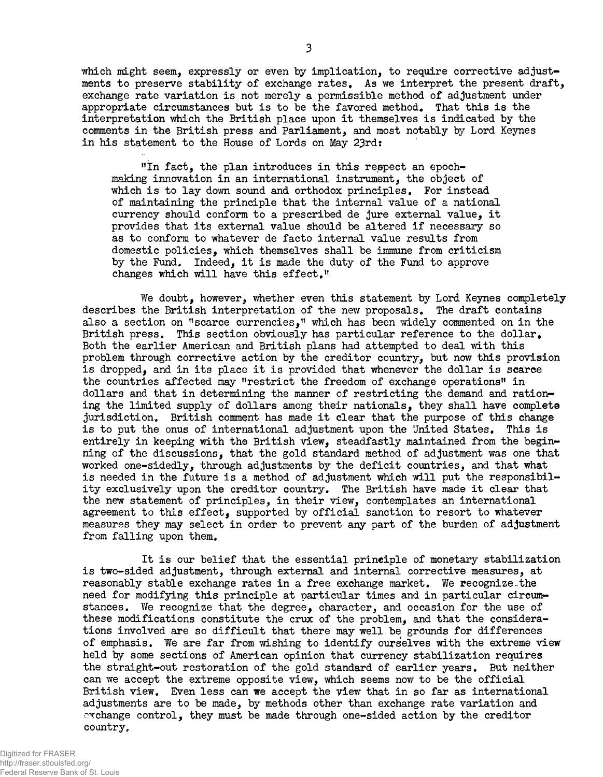which might seem, expressly or even by implication, to require corrective adjustments to preserve stability of exchange rates. As we interpret the present draft, exchange rate variation is not merely a permissible method of adjustment under appropriate circumstances but is to be the favored method. That this is the interpretation which the British place upon it themselves is indicated by the comments in the British press and Parliament, and most notably by Lord Keynes in his statement to the House of Lords on May 23rd:

"In fact, the plan introduces in this respect an epochmaking innovation in an international instrument, the object of which is to lay down sound and orthodox principles. For instead of maintaining the principle that the internal value of a national currency should conform to a prescribed de jure external value, it provides that its external value should be altered if necessary so as to conform to whatever de facto internal value results from domestic policies, which themselves shall be immune from criticism by the Fund. Indeed, it is made the duty of the Fund to approve changes which will have this effect,"

We doubt, however, whether even this statement by Lord Keynes completely describes the British interpretation of the new proposals, The draft contains also a section on "scarce currencies," which has been widely commented on in the British press. This section obviously has particular reference to the dollar. Both the earlier American and British plans had attempted to deal with this problem through corrective action by the creditor country, but now this provision is dropped, and in its place it is provided that whenever the dollar is scarce the countries affected may "restrict the freedom of exchange operations" in dollars and that in determining the manner of restricting the demand and rationing the limited supply of dollars among their nationals, they shall have complete jurisdiction. British comment has made it clear that the purpose of this change is to put the onus of international adjustment upon the United States, This is entirely in keeping with the British view, steadfastly maintained from the beginning of the discussions, that the gold standard method of adjustment was one that worked one-sidedly, through adjustments by the deficit countries, and that what is needed in the future is a method of adjustment which will put the responsibility exclusively upon the creditor country. The British have made it clear that the new statement of principles, in their view, contemplates an international agreement to this effect, supported by official sanction to resort to whatever measures they may select in order to prevent any part of the burden of adjustment from falling upon them.

It is our belief that the essential principle of monetary stabilization is two-sided adjustment, through external and internal corrective measures, at reasonably stable exchange rates in a free exchange market. We recognize-the need for modifying this principle at particular times and in particular circumstances. We recognize that the degree, character, and occasion for the use of these modifications constitute the crux of the problem, and that the considerations involved are so difficult that there may well be grounds for differences of emphasis. We are far from wishing to identify ourselves with the extreme view held by some sections of American opinion that currency stabilization requires the straight-out restoration of the gold standard of earlier years. But neither can we accept the extreme opposite view, which seems now to be the official British view. Even less can we accept the yiew that in so far as international adjustments are to be made, by methods other than exchange rate variation and exchange control, they must be made through one-sided action by the creditor country.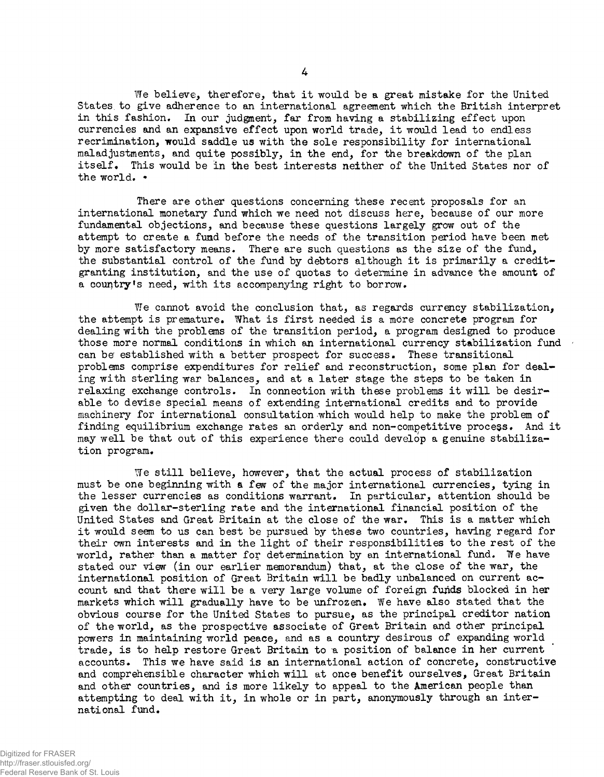We believe, therefore, that it would be a great mistake for the United States, to give adherence to an international agreement which the British interpret in this fashion. In our judgment, far from having a stabilizing effect upon currencies and an expansive effect upon world trade, it would lead to endless recrimination, would saddle us with the sole responsibility for international maladjustments, and quite possibly, in the end, for the breakdown of the plan itself. This would be in the best interests neither of the United States nor of the world. •

There are other questions concerning these recent proposals for an international monetary fund which we need not discuss here, because of our more fundamental objections, and because these questions largely grow out of the attempt to create a fund before the needs of the transition period have been met by more satisfactory means. There are such questions as the size of the fund, the substantial control of the fund by debtors although it is primarily a creditgranting institution, and the use of quotas to determine in advance the amount of a country's need, with its accompanying right to borrow.

We cannot avoid the conclusion that, as regards currency stabilization, the attempt is premature. What is first needed is a more concrete program for dealing with the problems of the transition period, a program designed to produce those more normal conditions in which an international currency stabilization fund  $\cdot$ can be established with a better prospect for success. These transitional problems comprise expenditures for relief and reconstruction, some plan for dealing with sterling war balances, and at a later stage the steps to be taken in relaxing exchange controls. In connection with these problems it will be desirable to devise special means of extending international credits and to provide machinery for international consultation which would help to make the problem of finding equilibrium exchange rates an orderly and non-competitive process. And it may well be that out of this experience there could develop a genuine stabilization program.

We still believe, however, that the actual process of stabilization must be one beginning with a few of the major international currencies, tying in the lesser currencies as conditions warrant. In particular, attention should be given the dollar-sterling rate and the international financial position of the United States and Great Britain at the close of the war. This is a matter which it would seem to us can best be pursued by these two countries, having regard for their own interests and in the light of their responsibilities to the rest of the world, rather than a matter for determination by an international fund. We have stated our view (in our earlier memorandum) that, at the close of the war, the international position of Great Britain will be badly unbalanced on current account and that there will be a very large volume of foreign funds blocked in her markets which will gradually have to be unfrozen. We have also stated that the obvious course for the United States to pursue, as the principal creditor nation of the world, as the prospective associate of Great Britain and other principal powers in maintaining world peace, and as a country desirous of expanding world trade, is to help restore Great Britain to a position of balance in her current accounts. This we have said is an international action of concrete, constructive and comprehensible character which will at once benefit ourselves, Great Britain and other countries, and is more likely to appeal to the American people than attempting to deal with it, in whole or in part, anonymously through an international fund.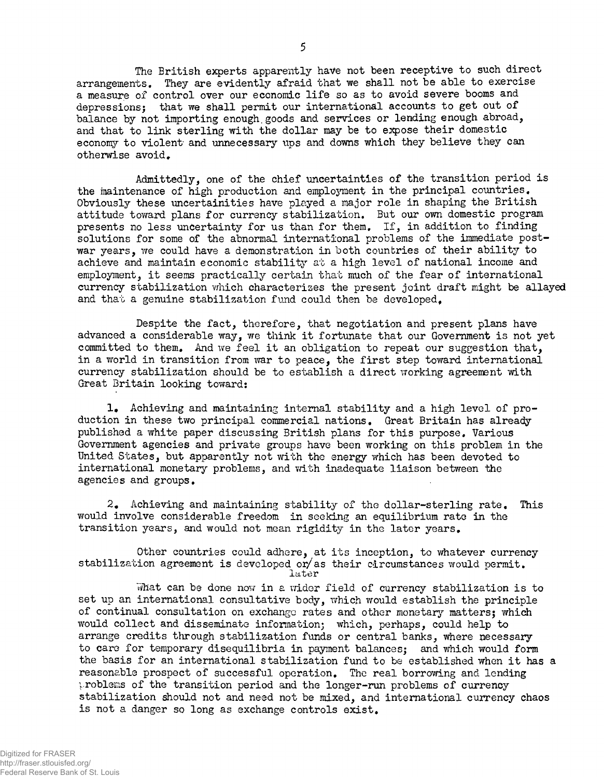The British experts apparently have not been receptive to such direct arrangements. They are evidently afraid that we shall not be able to exercise a measure of control over our economic life so as to avoid severe booms and depressions; that we shall permit our international accounts to get out of balance by not importing enough.goods and services or lending enough abroad, and that to link sterling with the dollar may be to expose their domestic economy to violent and unnecessary ups and downs which they believe they can otherwise avoid.

Admittedly, one of the chief uncertainties of the transition period is the maintenance of high production and employment in the principal countries. Obviously these uncertainties have played a major role in shaping the British attitude toward plans for currency stabilization. But our own domestic program presents no less uncertainty for us than for them. If, in addition to finding solutions for some of the abnormal international problems of the immediate postwar years, we could have a demonstration in both countries of their ability to achieve and maintain economic stability at a high level of national income and employment, it seems practically certain that much of the fear of international currency stabilization which characterizes the present joint draft might be allayed and that a genuine stabilization fund could then be developed.

Despite the fact, therefore, that negotiation and present plans have advanced a considerable way, we think it fortunate that our Government is not yet committed to them. And we feel it an obligation to repeat our suggestion that. in a world in transition from war to peace, the first step toward international currency stabilization should be to establish a direct working agreement with Great Britain looking toward:

1. Achieving and maintaining internal stability and a high level of production in these two principal commercial nations. Great Britain has already published a white paper discussing British plans for this purpose. Various Government agencies and private groups have been working on this problem in the United States, but apparently not with the energy which has been devoted to international monetary problems, and with inadequate liaison between the agencies and groups.

 $2.$  Achieving and maintaining stability of the dollar-sterling rate. This would involve considerable freedom in seeking an equilibrium rate in the transition years, and would not mean rigidity in the later years.

Other countries could adhere, at its inception, to whatever currency stabilization agreement is developed or/as their circumstances would permit. later

What can be done now in a vider field of currency stabilization is to set up an international consultative body, which would establish the principle of continual consultation on exchange rates and other monetary matters; which would collect and disseminate information; which, perhaps, could help to arrange credits through stabilization funds or central banks, where necessary to care for temporary disequilibria in payment balances; and which would form the basis for an international stabilization fund to be established when it has a reasonable prospect of successful operation. The real borrowing and lending problems of the transition period and the longer-run problems of currency stabilization should not and need not be mixed, and international currency chaos is not a danger so long as exchange controls exist.